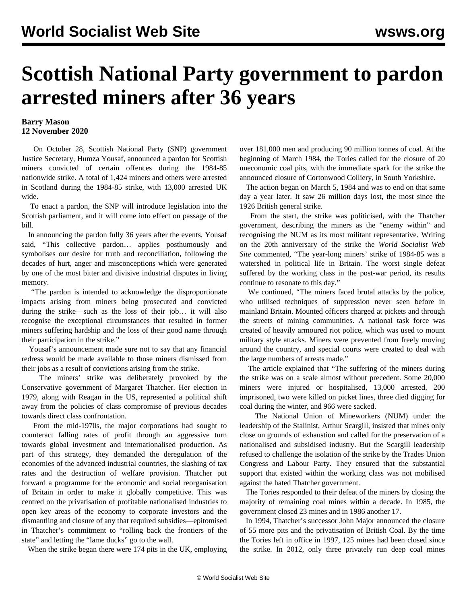## **Scottish National Party government to pardon arrested miners after 36 years**

## **Barry Mason 12 November 2020**

 On October 28, Scottish National Party (SNP) government Justice Secretary, Humza Yousaf, announced a pardon for Scottish miners convicted of certain offences during the 1984-85 nationwide strike. A total of 1,424 miners and others were arrested in Scotland during the 1984-85 strike, with 13,000 arrested UK wide.

 To enact a pardon, the SNP will introduce legislation into the Scottish parliament, and it will come into effect on passage of the bill.

 In announcing the pardon fully 36 years after the events, Yousaf said, "This collective pardon… applies posthumously and symbolises our desire for truth and reconciliation, following the decades of hurt, anger and misconceptions which were generated by one of the most bitter and divisive industrial disputes in living memory.

 "The pardon is intended to acknowledge the disproportionate impacts arising from miners being prosecuted and convicted during the strike—such as the loss of their job… it will also recognise the exceptional circumstances that resulted in former miners suffering hardship and the loss of their good name through their participation in the strike."

 Yousaf's announcement made sure not to say that any financial redress would be made available to those miners dismissed from their jobs as a result of convictions arising from the strike.

 The miners' strike was deliberately provoked by the Conservative government of Margaret Thatcher. Her election in 1979, along with Reagan in the US, represented a political shift away from the policies of class compromise of previous decades towards direct class confrontation.

 From the mid-1970s, the major corporations had sought to counteract falling rates of profit through an aggressive turn towards global investment and internationalised production. As part of this strategy, they demanded the deregulation of the economies of the advanced industrial countries, the slashing of tax rates and the destruction of welfare provision. Thatcher put forward a programme for the economic and social reorganisation of Britain in order to make it globally competitive. This was centred on the privatisation of profitable nationalised industries to open key areas of the economy to corporate investors and the dismantling and closure of any that required subsidies—epitomised in Thatcher's commitment to "rolling back the frontiers of the state" and letting the "lame ducks" go to the wall.

When the strike began there were 174 pits in the UK, employing

over 181,000 men and producing 90 million tonnes of coal. At the beginning of March 1984, the Tories called for the closure of 20 uneconomic coal pits, with the immediate spark for the strike the announced closure of Cortonwood Colliery, in South Yorkshire.

 The action began on March 5, 1984 and was to end on that same day a year later. It saw 26 million days lost, the most since the 1926 British general strike.

 From the start, the strike was politicised, with the Thatcher government, describing the miners as the "enemy within" and recognising the NUM as its most militant representative. Writing on the 20th anniversary of the strike the *World Socialist Web Site* commented, "The year-long miners' strike of 1984-85 was a watershed in political life in Britain. The worst single defeat suffered by the working class in the post-war period, its results continue to resonate to this day."

 We continued, "The miners faced brutal attacks by the police, who utilised techniques of suppression never seen before in mainland Britain. Mounted officers charged at pickets and through the streets of mining communities. A national task force was created of heavily armoured riot police, which was used to mount military style attacks. Miners were prevented from freely moving around the country, and special courts were created to deal with the large numbers of arrests made."

 The article explained that "The suffering of the miners during the strike was on a scale almost without precedent. Some 20,000 miners were injured or hospitalised, 13,000 arrested, 200 imprisoned, two were killed on picket lines, three died digging for coal during the winter, and 966 were sacked.

 The National Union of Mineworkers (NUM) under the leadership of the Stalinist, Arthur Scargill, insisted that mines only close on grounds of exhaustion and called for the preservation of a nationalised and subsidised industry. But the Scargill leadership refused to challenge the isolation of the strike by the Trades Union Congress and Labour Party. They ensured that the substantial support that existed within the working class was not mobilised against the hated Thatcher government.

 The Tories responded to their defeat of the miners by closing the majority of remaining coal mines within a decade. In 1985, the government closed 23 mines and in 1986 another 17.

 In 1994, Thatcher's successor John Major announced the closure of 55 more pits and the privatisation of British Coal. By the time the Tories left in office in 1997, 125 mines had been closed since the strike. In 2012, only three privately run deep coal mines